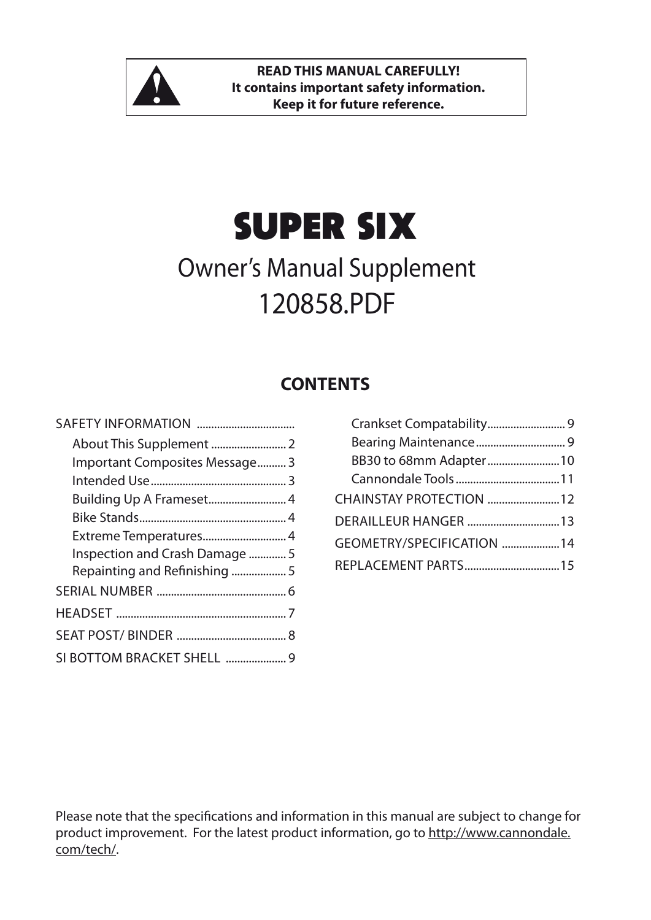

# super six

## Owner's Manual Supplement 120858.PDF

#### **CONTENTS**

| Important Composites Message 3 |  |
|--------------------------------|--|
|                                |  |
| Building Up A Frameset 4       |  |
|                                |  |
| Extreme Temperatures 4         |  |
| Inspection and Crash Damage 5  |  |
| Repainting and Refinishing 5   |  |
|                                |  |
|                                |  |
|                                |  |
| SI BOTTOM BRACKET SHELL 9      |  |

| BB30 to 68mm Adapter 10   |  |
|---------------------------|--|
|                           |  |
| CHAINSTAY PROTECTION 12   |  |
| DERAILLEUR HANGER  13     |  |
| GEOMETRY/SPECIFICATION 14 |  |
| REPLACEMENT PARTS15       |  |

Please note that the specifications and information in this manual are subject to change for product improvement. For the latest product information, go to http://www.cannondale. com/tech/.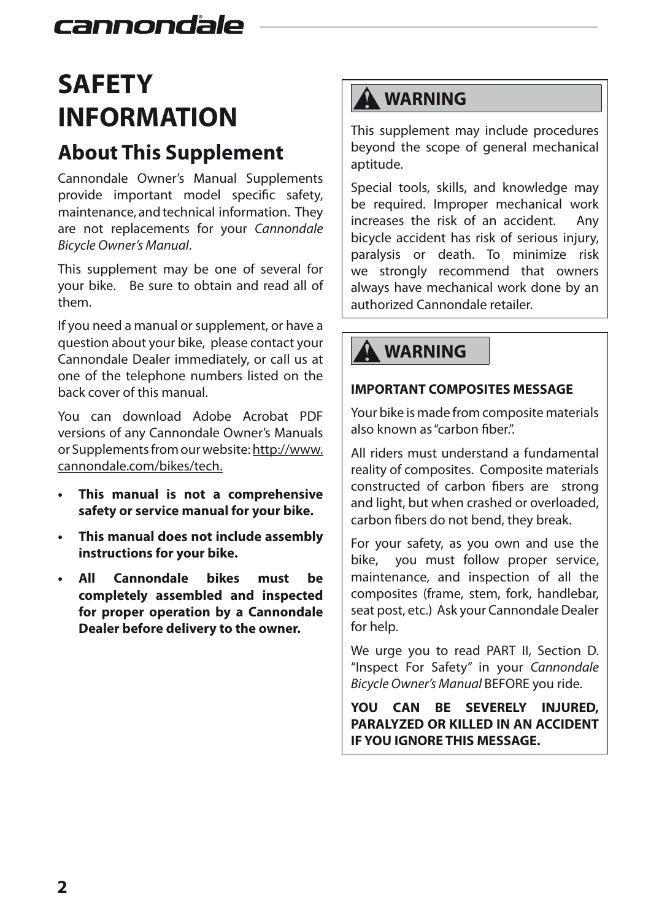## **SAFETY INFORMATION**

## **About This Supplement**

Cannondale Owner's Manual Supplements provide important model specific safety, maintenance, and technical information. They are not replacements for your *Cannondale Bicycle Owner's Manual*.

This supplement may be one of several for your bike. Be sure to obtain and read all of them.

If you need a manual or supplement, or have a question about your bike, please contact your Cannondale Dealer immediately, or call us at one of the telephone numbers listed on the back cover of this manual.

You can download Adobe Acrobat PDF versions of any Cannondale Owner's Manuals or Supplements from our website: http://www. cannondale.com/bikes/tech.

- **This manual is not a comprehensive safety or service manual for your bike.**
- **This manual does not include assembly instructions for your bike.**
- **All Cannondale bikes must be completely assembled and inspected for proper operation by a Cannondale Dealer before delivery to the owner.**

## **A** WARNING

This supplement may include procedures beyond the scope of general mechanical aptitude.

Special tools, skills, and knowledge may be required. Improper mechanical work increases the risk of an accident. Any bicycle accident has risk of serious injury, paralysis or death. To minimize risk we strongly recommend that owners always have mechanical work done by an authorized Cannondale retailer.

## **WARNING**

#### **IMPORTANT COMPOSITES MESSAGE**

Your bike is made from composite materials also known as "carbon fiber.".

All riders must understand a fundamental reality of composites. Composite materials constructed of carbon fibers are strong and light, but when crashed or overloaded, carbon fibers do not bend, they break.

For your safety, as you own and use the bike, you must follow proper service, maintenance, and inspection of all the composites (frame, stem, fork, handlebar, seat post, etc.) Ask your Cannondale Dealer for help.

We urge you to read PART II, Section D. "Inspect For Safety" in your *Cannondale Bicycle Owner's Manual* BEFORE you ride.

**YOU CAN BE SEVERELY INJURED, PARALYZED OR KILLED IN AN ACCIDENT IF YOU IGNORE THIS MESSAGE.**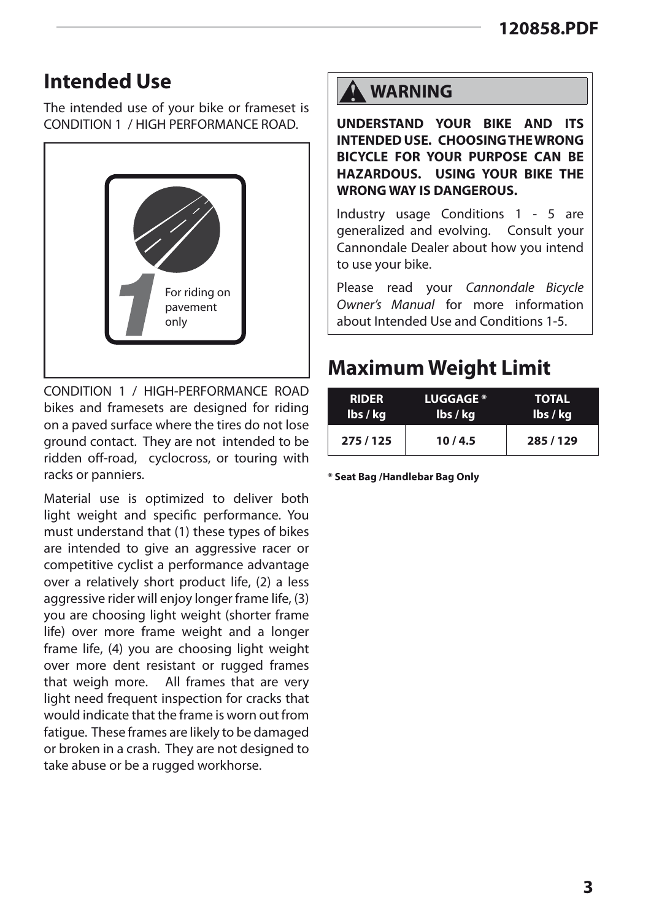### **Intended Use**

The intended use of your bike or frameset is CONDITION 1 / HIGH PERFORMANCE ROAD.



CONDITION 1 / HIGH-PERFORMANCE ROAD bikes and framesets are designed for riding on a paved surface where the tires do not lose ground contact. They are not intended to be ridden off-road, cyclocross, or touring with racks or panniers.

Material use is optimized to deliver both light weight and specific performance. You must understand that (1) these types of bikes are intended to give an aggressive racer or competitive cyclist a performance advantage over a relatively short product life, (2) a less aggressive rider will enjoy longer frame life, (3) you are choosing light weight (shorter frame life) over more frame weight and a longer frame life, (4) you are choosing light weight over more dent resistant or rugged frames that weigh more. All frames that are very light need frequent inspection for cracks that would indicate that the frame is worn out from fatigue. These frames are likely to be damaged or broken in a crash. They are not designed to take abuse or be a rugged workhorse.

**UNDERSTAND YOUR BIKE AND ITS INTENDED USE. CHOOSING THE WRONG BICYCLE FOR YOUR PURPOSE CAN BE HAZARDOUS. USING YOUR BIKE THE WRONG WAY IS DANGEROUS.**

Industry usage Conditions 1 - 5 are generalized and evolving. Consult your Cannondale Dealer about how you intend to use your bike.

Please read your *Cannondale Bicycle Owner's Manual* for more information about Intended Use and Conditions 1-5.

## **Maximum Weight Limit**

| <b>RIDER</b> | <b>LUGGAGE</b> * | <b>TOTAL</b> |
|--------------|------------------|--------------|
| lbs / kg     | lbs / kg         | lbs / kg     |
| 275 / 125    | 10/4.5           | 285/129      |

**\* Seat Bag /Handlebar Bag Only**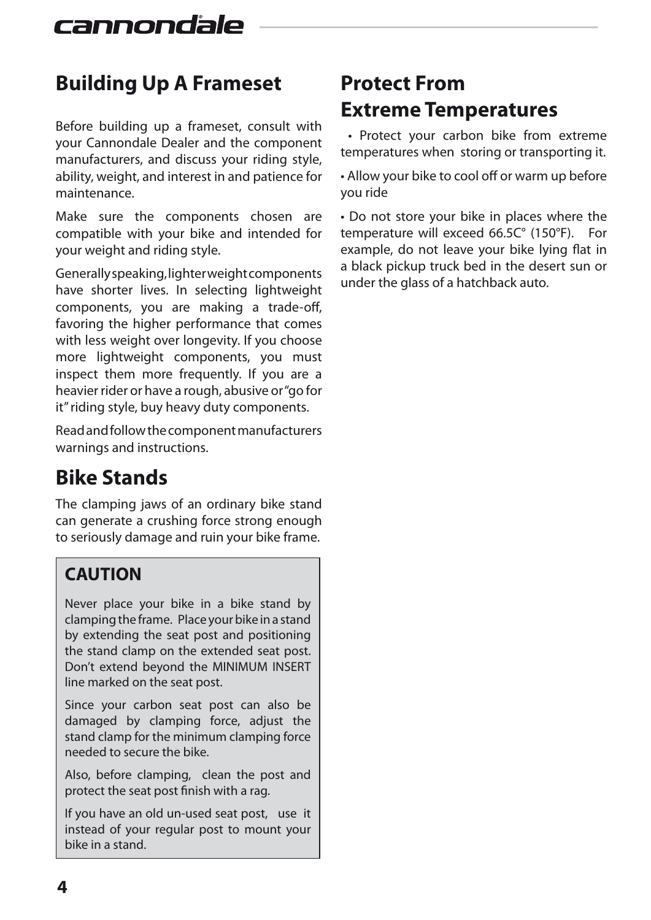## **Building Up A Frameset**

Before building up a frameset, consult with your Cannondale Dealer and the component manufacturers, and discuss your riding style, ability, weight, and interest in and patience for maintenance.

Make sure the components chosen are compatible with your bike and intended for your weight and riding style.

Generally speaking, lighter weight components have shorter lives. In selecting lightweight components, you are making a trade-off, favoring the higher performance that comes with less weight over longevity. If you choose more lightweight components, you must inspect them more frequently. If you are a heavier rider or have a rough, abusive or "go for it" riding style, buy heavy duty components.

Read and follow the component manufacturers warnings and instructions.

## **Bike Stands**

The clamping jaws of an ordinary bike stand can generate a crushing force strong enough to seriously damage and ruin your bike frame.

#### **CAUTION**

Never place your bike in a bike stand by clamping the frame. Place your bike in a stand by extending the seat post and positioning the stand clamp on the extended seat post. Don't extend beyond the MINIMUM INSERT line marked on the seat post.

Since your carbon seat post can also be damaged by clamping force, adjust the stand clamp for the minimum clamping force needed to secure the bike.

Also, before clamping, clean the post and protect the seat post finish with a rag.

If you have an old un-used seat post, use it instead of your regular post to mount your bike in a stand.

## **Protect From Extreme Temperatures**

 • Protect your carbon bike from extreme temperatures when storing or transporting it.

• Allow your bike to cool off or warm up before you ride

• Do not store your bike in places where the temperature will exceed 66.5C° (150°F). For example, do not leave your bike lying flat in a black pickup truck bed in the desert sun or under the glass of a hatchback auto.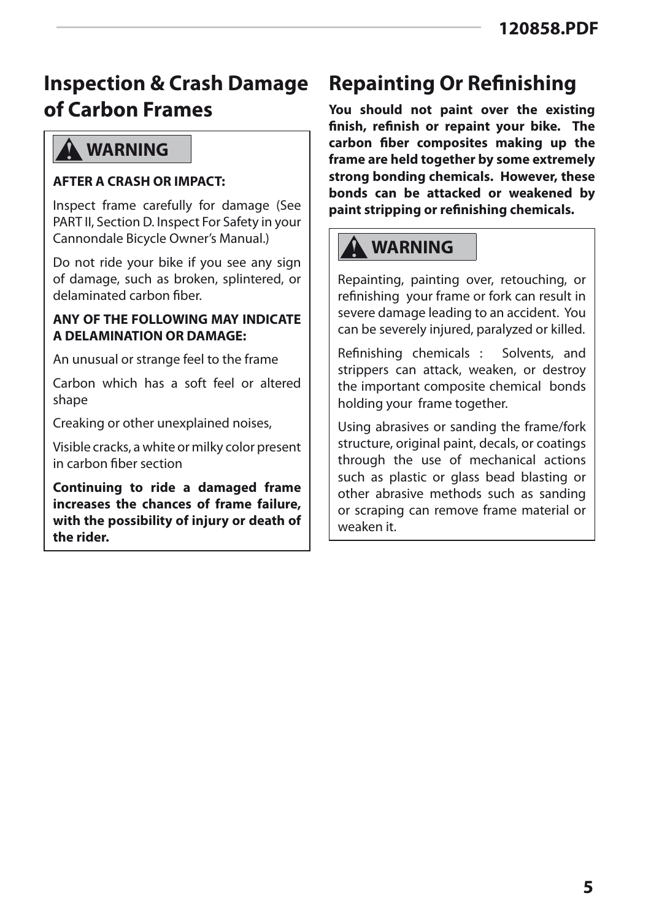## **Inspection & Crash Damage of Carbon Frames**

#### **WARNING**

#### **AFTER A CRASH OR IMPACT:**

Inspect frame carefully for damage (See PART II, Section D. Inspect For Safety in your Cannondale Bicycle Owner's Manual.)

Do not ride your bike if you see any sign of damage, such as broken, splintered, or delaminated carbon fiber.

#### **ANY OF THE FOLLOWING MAY INDICATE A DELAMINATION OR DAMAGE:**

An unusual or strange feel to the frame

Carbon which has a soft feel or altered shape

Creaking or other unexplained noises,

Visible cracks, a white or milky color present in carbon fiber section

**Continuing to ride a damaged frame increases the chances of frame failure, with the possibility of injury or death of the rider.** 

## **Repainting Or Refinishing**

**You should not paint over the existing finish, refinish or repaint your bike. The carbon fiber composites making up the frame are held together by some extremely strong bonding chemicals. However, these bonds can be attacked or weakened by paint stripping or refinishing chemicals.**

## **WARNING**

Repainting, painting over, retouching, or refinishing your frame or fork can result in severe damage leading to an accident. You can be severely injured, paralyzed or killed.

Refinishing chemicals : Solvents, and strippers can attack, weaken, or destroy the important composite chemical bonds holding your frame together.

Using abrasives or sanding the frame/fork structure, original paint, decals, or coatings through the use of mechanical actions such as plastic or glass bead blasting or other abrasive methods such as sanding or scraping can remove frame material or weaken it.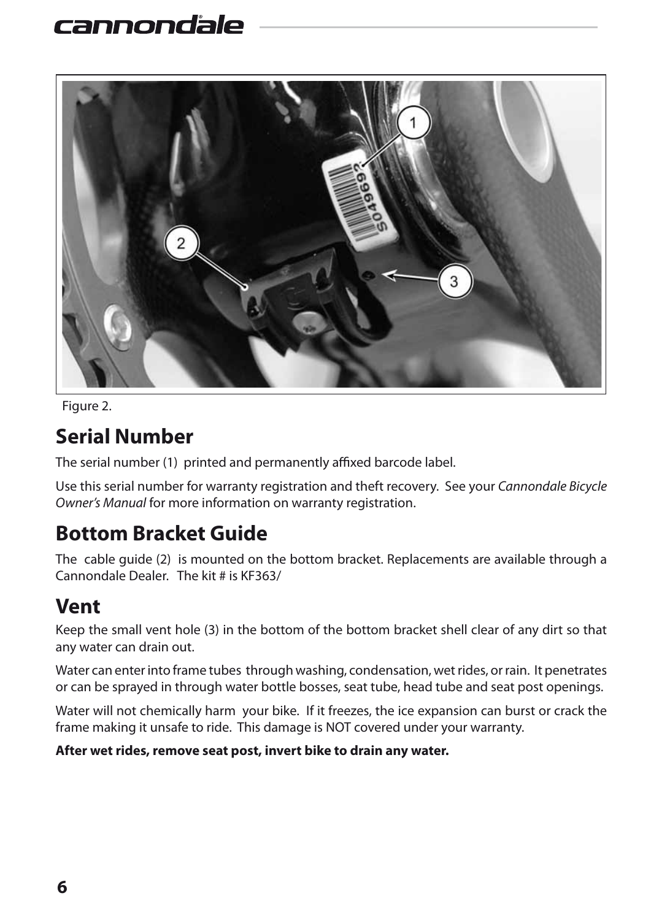

Figure 2.

### **Serial Number**

The serial number (1) printed and permanently affixed barcode label.

Use this serial number for warranty registration and theft recovery. See your *Cannondale Bicycle Owner's Manual* for more information on warranty registration.

## **Bottom Bracket Guide**

The cable guide (2) is mounted on the bottom bracket. Replacements are available through a Cannondale Dealer. The kit # is KF363/

#### **Vent**

Keep the small vent hole (3) in the bottom of the bottom bracket shell clear of any dirt so that any water can drain out.

Water can enter into frame tubes through washing, condensation, wet rides, or rain. It penetrates or can be sprayed in through water bottle bosses, seat tube, head tube and seat post openings.

Water will not chemically harm your bike. If it freezes, the ice expansion can burst or crack the frame making it unsafe to ride. This damage is NOT covered under your warranty.

#### **After wet rides, remove seat post, invert bike to drain any water.**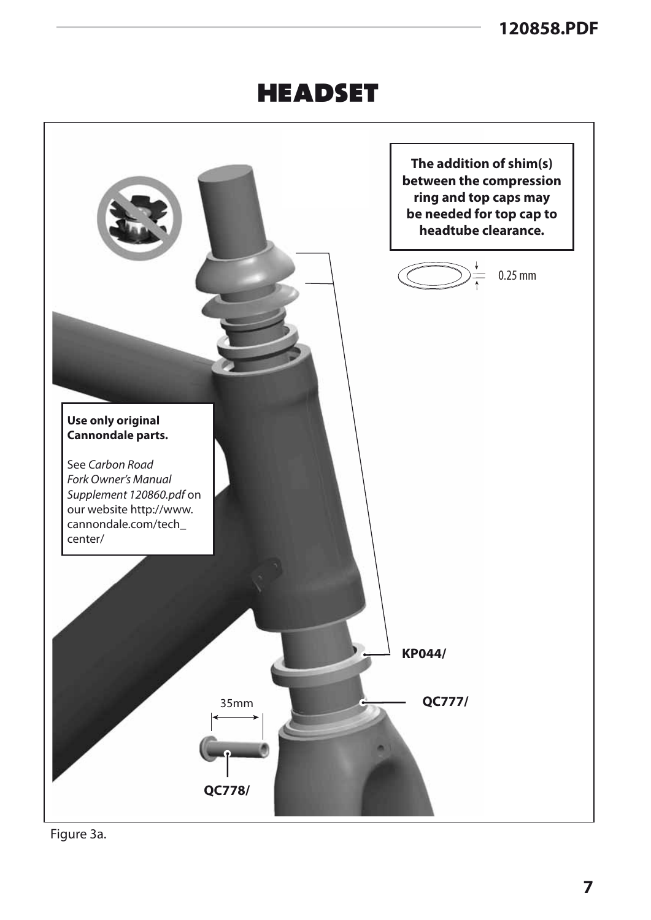## **HEADSET**



Figure 3a.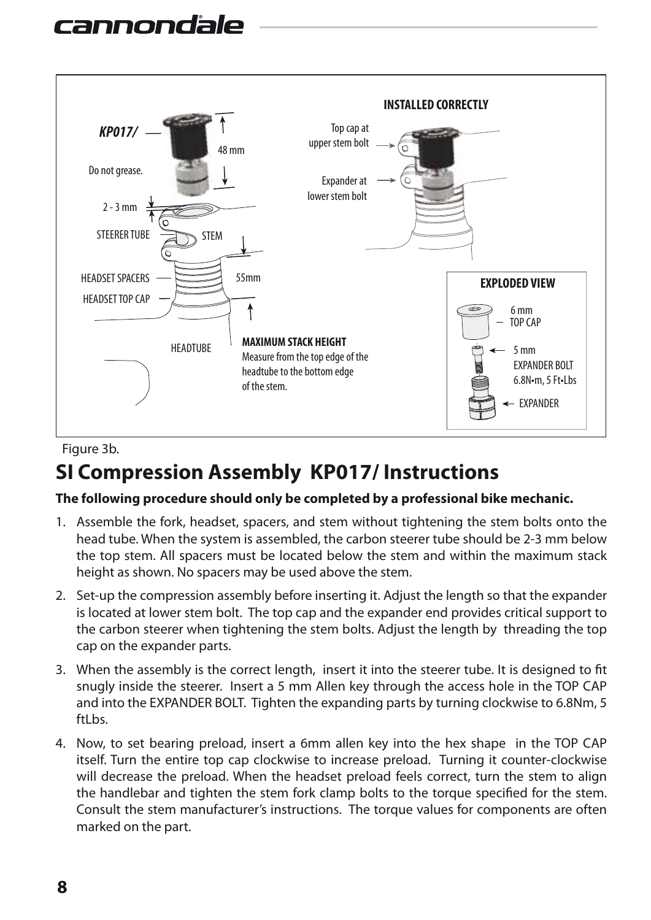

Figure 3b.

## **SI Compression Assembly KP017/ Instructions**

#### **The following procedure should only be completed by a professional bike mechanic.**

- 1. Assemble the fork, headset, spacers, and stem without tightening the stem bolts onto the head tube. When the system is assembled, the carbon steerer tube should be 2-3 mm below the top stem. All spacers must be located below the stem and within the maximum stack height as shown. No spacers may be used above the stem.
- 2. Set-up the compression assembly before inserting it. Adjust the length so that the expander is located at lower stem bolt. The top cap and the expander end provides critical support to the carbon steerer when tightening the stem bolts. Adjust the length by threading the top cap on the expander parts.
- 3. When the assembly is the correct length, insert it into the steerer tube. It is designed to fit snugly inside the steerer. Insert a 5 mm Allen key through the access hole in the TOP CAP and into the EXPANDER BOLT. Tighten the expanding parts by turning clockwise to 6.8Nm, 5 ftLbs.
- 4. Now, to set bearing preload, insert a 6mm allen key into the hex shape in the TOP CAP itself. Turn the entire top cap clockwise to increase preload. Turning it counter-clockwise will decrease the preload. When the headset preload feels correct, turn the stem to align the handlebar and tighten the stem fork clamp bolts to the torque specified for the stem. Consult the stem manufacturer's instructions. The torque values for components are often marked on the part.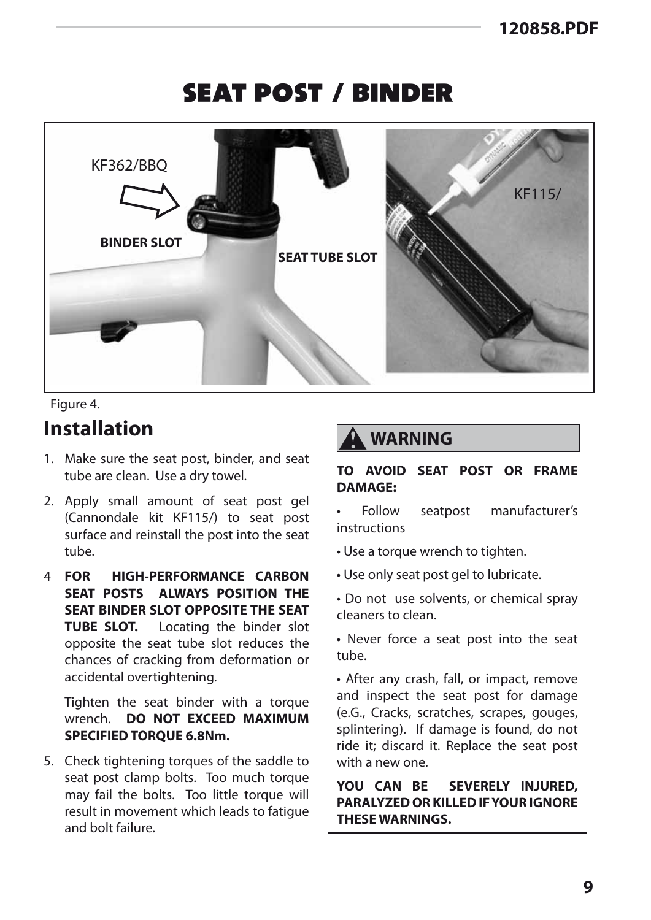## seat post / binder



#### Figure 4.

#### **Installation**

- 1. Make sure the seat post, binder, and seat tube are clean. Use a dry towel.
- 2. Apply small amount of seat post gel (Cannondale kit KF115/) to seat post surface and reinstall the post into the seat tube.
- 4 **FOR HIGH-PERFORMANCE CARBON SEAT POSTS ALWAYS POSITION THE SEAT BINDER SLOT OPPOSITE THE SEAT TUBE SLOT.** Locating the binder slot opposite the seat tube slot reduces the chances of cracking from deformation or accidental overtightening.

 Tighten the seat binder with a torque wrench. **DO NOT EXCEED MAXIMUM SPECIFIED TORQUE 6.8Nm.**

5. Check tightening torques of the saddle to seat post clamp bolts. Too much torque may fail the bolts. Too little torque will result in movement which leads to fatigue and bolt failure.

#### **WARNING**

**TO AVOID SEAT POST OR FRAME DAMAGE:**

• Follow seatpost manufacturer's instructions

• Use a torque wrench to tighten.

• Use only seat post gel to lubricate.

• Do not use solvents, or chemical spray cleaners to clean.

• Never force a seat post into the seat tube.

• After any crash, fall, or impact, remove and inspect the seat post for damage (e.G., Cracks, scratches, scrapes, gouges, splintering). If damage is found, do not ride it; discard it. Replace the seat post with a new one.

**YOU CAN BE SEVERELY INJURED, PARALYZED OR KILLED IF YOUR IGNORE THESE WARNINGS.**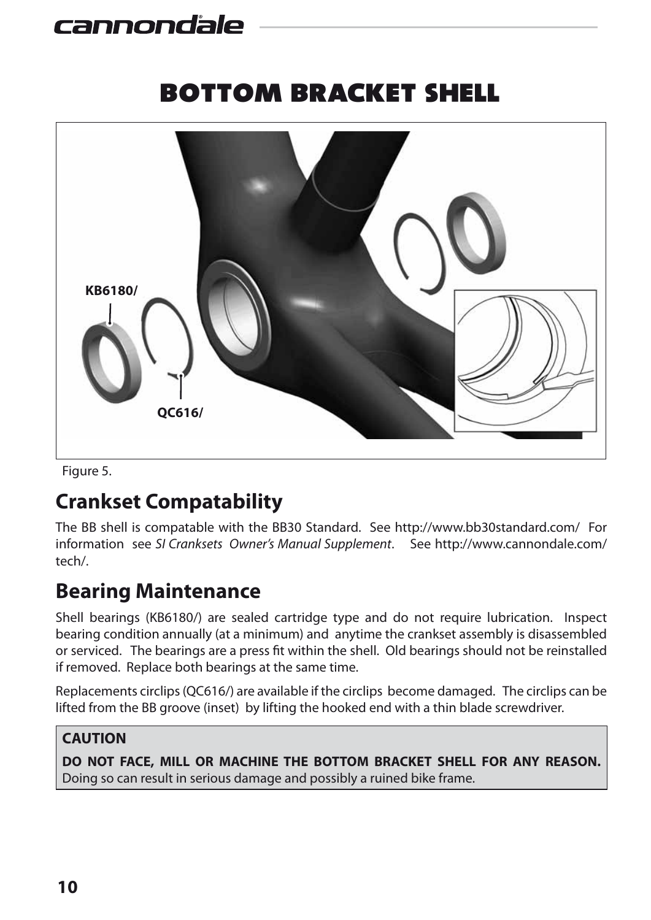## bottom bracket shell



Figure 5.

## **Crankset Compatability**

The BB shell is compatable with the BB30 Standard. See http://www.bb30standard.com/ For information see *SI Cranksets Owner's Manual Supplement*. See http://www.cannondale.com/ tech/.

## **Bearing Maintenance**

Shell bearings (KB6180/) are sealed cartridge type and do not require lubrication. Inspect bearing condition annually (at a minimum) and anytime the crankset assembly is disassembled or serviced. The bearings are a press fit within the shell. Old bearings should not be reinstalled if removed. Replace both bearings at the same time.

Replacements circlips (QC616/) are available if the circlips become damaged. The circlips can be lifted from the BB groove (inset) by lifting the hooked end with a thin blade screwdriver.

#### **CAUTION**

**DO NOT FACE, MILL OR MACHINE THE BOTTOM BRACKET SHELL FOR ANY REASON.** Doing so can result in serious damage and possibly a ruined bike frame.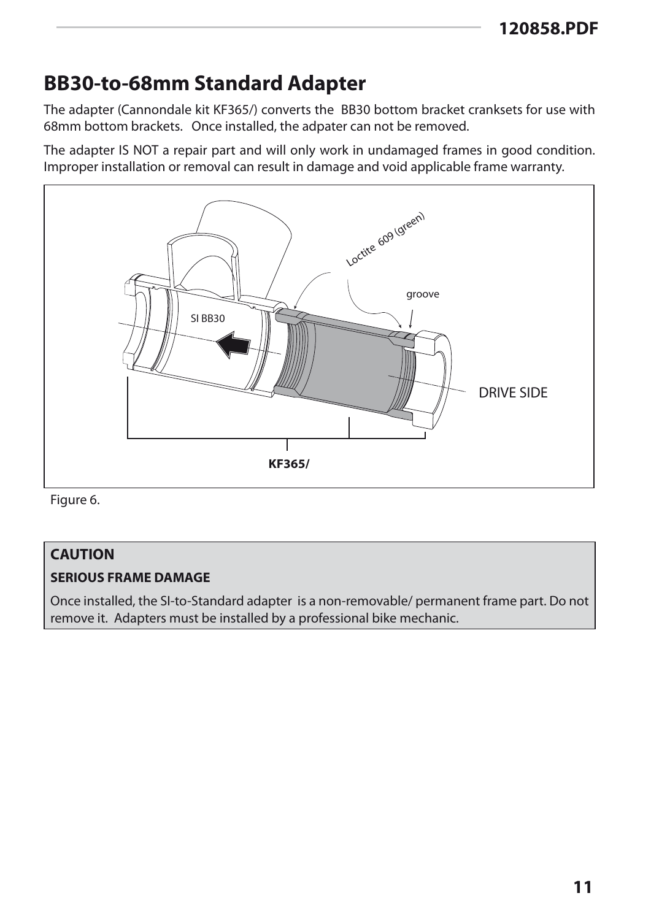### **BB30-to-68mm Standard Adapter**

The adapter (Cannondale kit KF365/) converts the BB30 bottom bracket cranksets for use with 68mm bottom brackets. Once installed, the adpater can not be removed.

The adapter IS NOT a repair part and will only work in undamaged frames in good condition. Improper installation or removal can result in damage and void applicable frame warranty.



Figure 6.

#### **CAUTION**

#### **SERIOUS FRAME DAMAGE**

Once installed, the SI-to-Standard adapter is a non-removable/ permanent frame part. Do not remove it. Adapters must be installed by a professional bike mechanic.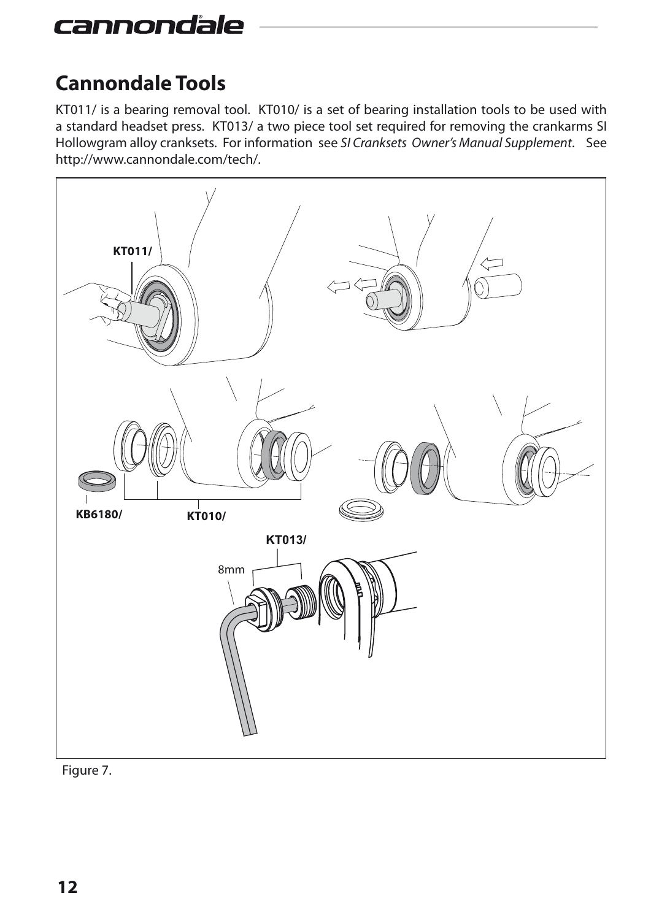## **Cannondale Tools**

KT011/ is a bearing removal tool. KT010/ is a set of bearing installation tools to be used with a standard headset press. KT013/ a two piece tool set required for removing the crankarms SI Hollowgram alloy cranksets. For information see *SI Cranksets Owner's Manual Supplement*. See http://www.cannondale.com/tech/.



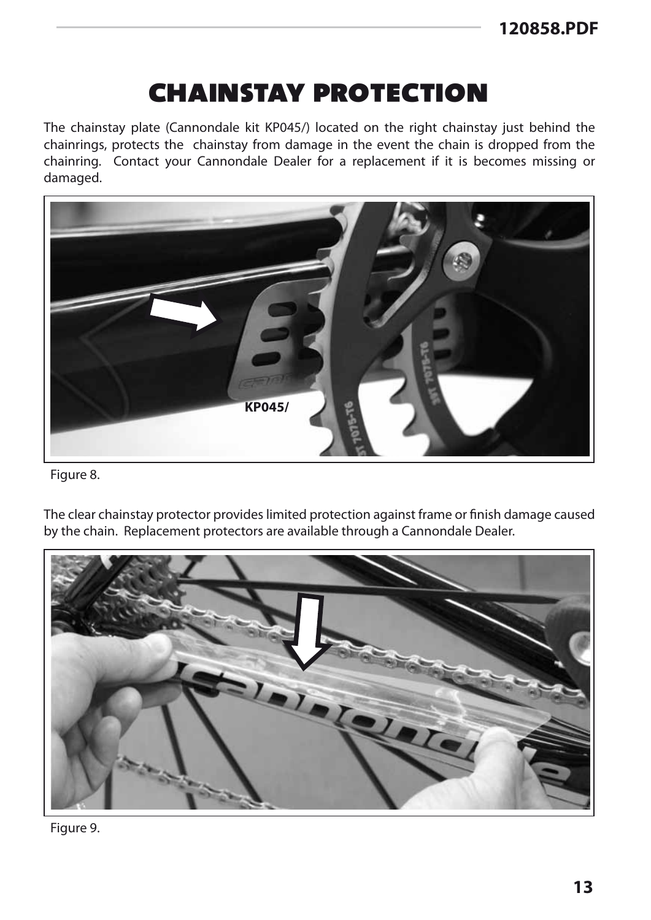## chainstay protection

The chainstay plate (Cannondale kit KP045/) located on the right chainstay just behind the chainrings, protects the chainstay from damage in the event the chain is dropped from the chainring. Contact your Cannondale Dealer for a replacement if it is becomes missing or damaged.



Figure 8.

The clear chainstay protector provides limited protection against frame or finish damage caused by the chain. Replacement protectors are available through a Cannondale Dealer.



Figure 9.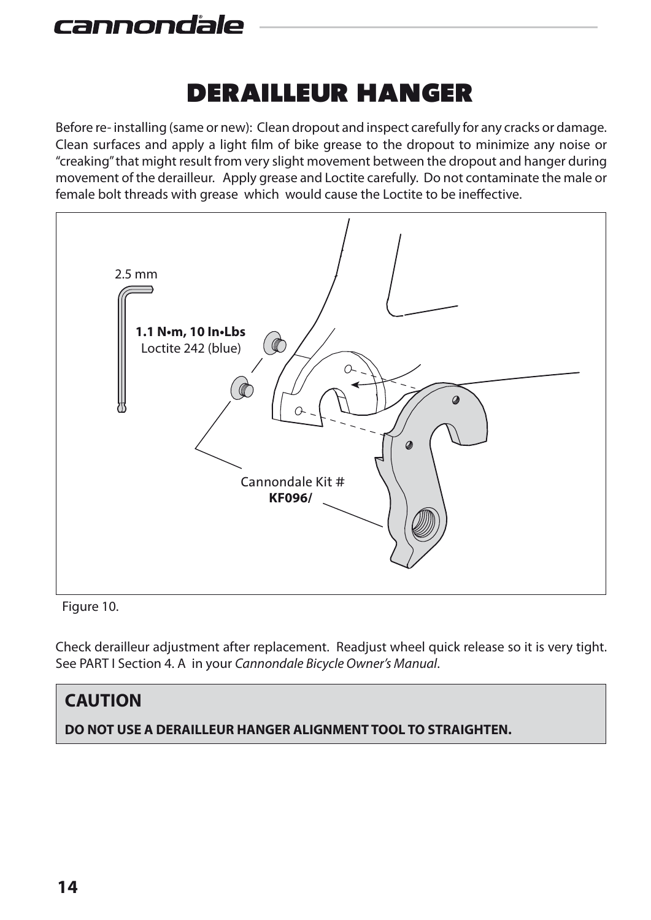## derailleur hanger

Before re- installing (same or new): Clean dropout and inspect carefully for any cracks or damage. Clean surfaces and apply a light film of bike grease to the dropout to minimize any noise or "creaking" that might result from very slight movement between the dropout and hanger during movement of the derailleur. Apply grease and Loctite carefully. Do not contaminate the male or female bolt threads with grease which would cause the Loctite to be ineffective.



Figure 10.

Check derailleur adjustment after replacement. Readjust wheel quick release so it is very tight. See PART I Section 4. A in your *Cannondale Bicycle Owner's Manual*.

## **CAUTION DO NOT USE A DERAILLEUR HANGER ALIGNMENT TOOL TO STRAIGHTEN.**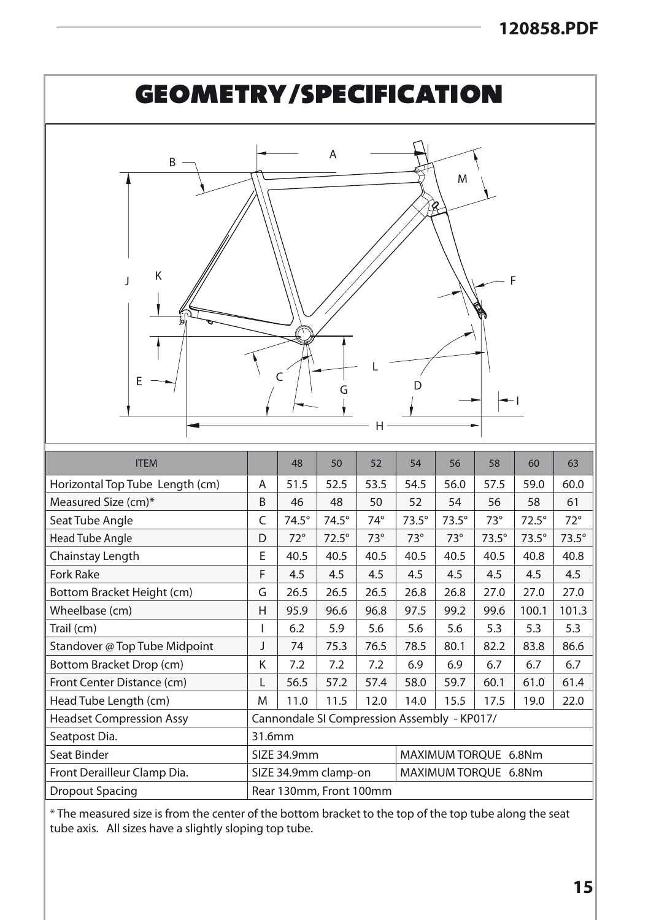

\* The measured size is from the center of the bottom bracket to the top of the top tube along the seat tube axis. All sizes have a slightly sloping top tube.